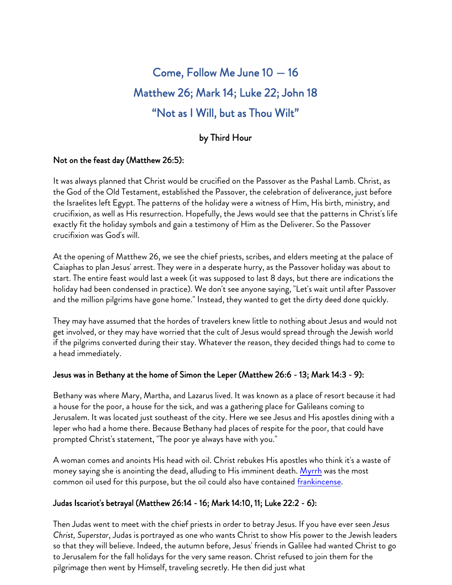# Come, Follow Me June 10 — 16 Matthew 26; Mark 14; Luke 22; John 18 "Not as I Will, but as Thou Wilt"

# by Third Hour

#### Not on the feast day (Matthew 26:5):

It was always planned that Christ would be crucified on the Passover as the Pashal Lamb. Christ, as the God of the Old Testament, established the Passover, the celebration of deliverance, just before the Israelites left Egypt. The patterns of the holiday were a witness of Him, His birth, ministry, and crucifixion, as well as His resurrection. Hopefully, the Jews would see that the patterns in Christ's life exactly fit the holiday symbols and gain a testimony of Him as the Deliverer. So the Passover crucifixion was God's will.

At the opening of Matthew 26, we see the chief priests, scribes, and elders meeting at the palace of Caiaphas to plan Jesus' arrest. They were in a desperate hurry, as the Passover holiday was about to start. The entire feast would last a week (it was supposed to last 8 days, but there are indications the holiday had been condensed in practice). We don't see anyone saying, "Let's wait until after Passover and the million pilgrims have gone home." Instead, they wanted to get the dirty deed done quickly.

They may have assumed that the hordes of travelers knew little to nothing about Jesus and would not get involved, or they may have worried that the cult of Jesus would spread through the Jewish world if the pilgrims converted during their stay. Whatever the reason, they decided things had to come to a head immediately.

#### Jesus was in Bethany at the home of Simon the Leper (Matthew 26:6 - 13; Mark 14:3 - 9):

Bethany was where Mary, Martha, and Lazarus lived. It was known as a place of resort because it had a house for the poor, a house for the sick, and was a gathering place for Galileans coming to Jerusalem. It was located just southeast of the city. Here we see Jesus and His apostles dining with a leper who had a home there. Because Bethany had places of respite for the poor, that could have prompted Christ's statement, "The poor ye always have with you."

A woman comes and anoints His head with oil. Christ rebukes His apostles who think it's a waste of money saying she is anointing the dead, alluding to His imminent death. [Myrrh](https://en.wikipedia.org/wiki/Myrrh) was the most common oil used for this purpose, but the oil could also have contained frankincense.

#### Judas Iscariot's betrayal (Matthew 26:14 - 16; Mark 14:10, 11; Luke 22:2 - 6):

Then Judas went to meet with the chief priests in order to betray Jesus. If you have ever seen *Jesus Christ, Superstar*, Judas is portrayed as one who wants Christ to show His power to the Jewish leaders so that they will believe. Indeed, the autumn before, Jesus' friends in Galilee had wanted Christ to go to Jerusalem for the fall holidays for the very same reason. Christ refused to join them for the pilgrimage then went by Himself, traveling secretly. He then did just what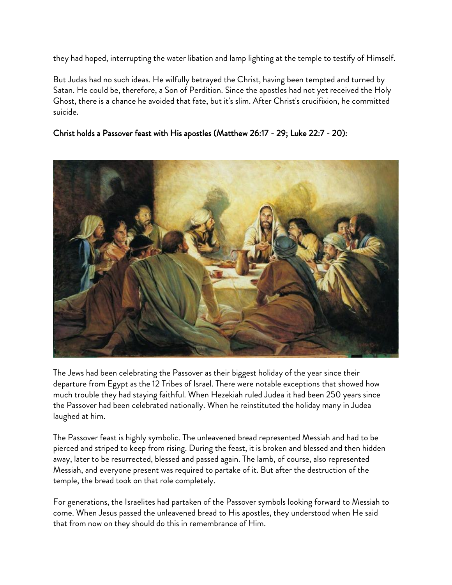they had hoped, interrupting the water libation and lamp lighting at the temple to testify of Himself.

But Judas had no such ideas. He wilfully betrayed the Christ, having been tempted and turned by Satan. He could be, therefore, a Son of Perdition. Since the apostles had not yet received the Holy Ghost, there is a chance he avoided that fate, but it's slim. After Christ's crucifixion, he committed suicide.

### Christ holds a Passover feast with His apostles (Matthew 26:17 - 29; Luke 22:7 - 20):



The Jews had been celebrating the Passover as their biggest holiday of the year since their departure from Egypt as the 12 Tribes of Israel. There were notable exceptions that showed how much trouble they had staying faithful. When Hezekiah ruled Judea it had been 250 years since the Passover had been celebrated nationally. When he reinstituted the holiday many in Judea laughed at him.

The Passover feast is highly symbolic. The unleavened bread represented Messiah and had to be pierced and striped to keep from rising. During the feast, it is broken and blessed and then hidden away, later to be resurrected, blessed and passed again. The lamb, of course, also represented Messiah, and everyone present was required to partake of it. But after the destruction of the temple, the bread took on that role completely.

For generations, the Israelites had partaken of the Passover symbols looking forward to Messiah to come. When Jesus passed the unleavened bread to His apostles, they understood when He said that from now on they should do this in remembrance of Him.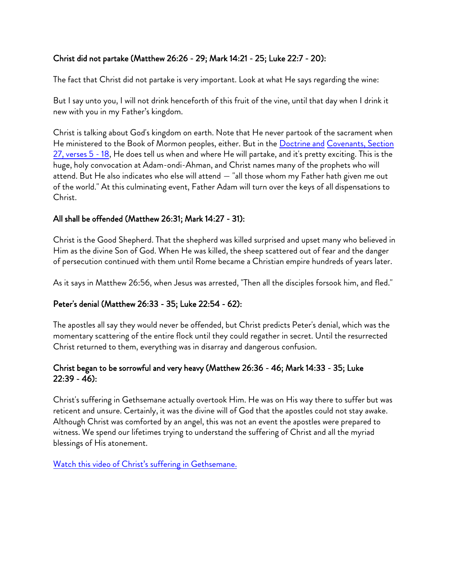#### Christ did not partake (Matthew 26:26 - 29; Mark 14:21 - 25; Luke 22:7 - 20):

The fact that Christ did not partake is very important. Look at what He says regarding the wine:

But I say unto you, I will not drink henceforth of this fruit of the vine, until that day when I drink it new with you in my Father's kingdom.

Christ is talking about God's kingdom on earth. Note that He never partook of the sacrament when He ministered to the Book of Mormon peoples, either. But in the Doctrine and Covenants, Section [27, verses 5 - 18, He does tell us when](https://www.churchofjesuschrist.org/study/scriptures/dc-testament/dc/27?lang=eng) and where He will partake, and it's pretty exciting. This is the huge, holy convocation at Adam-ondi-Ahman, and Christ names many of the prophets who will attend. But He also indicates who else will attend — "all those whom my Father hath given me out of the world." At this culminating event, Father Adam will turn over the keys of all dispensations to Christ.

#### All shall be offended (Matthew 26:31; Mark 14:27 - 31):

Christ is the Good Shepherd. That the shepherd was killed surprised and upset many who believed in Him as the divine Son of God. When He was killed, the sheep scattered out of fear and the danger of persecution continued with them until Rome became a Christian empire hundreds of years later.

As it says in Matthew 26:56, when Jesus was arrested, "Then all the disciples forsook him, and fled."

#### Peter's denial (Matthew 26:33 - 35; Luke 22:54 - 62):

The apostles all say they would never be offended, but Christ predicts Peter's denial, which was the momentary scattering of the entire flock until they could regather in secret. Until the resurrected Christ returned to them, everything was in disarray and dangerous confusion.

#### Christ began to be sorrowful and very heavy (Matthew 26:36 - 46; Mark 14:33 - 35; Luke 22:39 - 46):

Christ's suffering in Gethsemane actually overtook Him. He was on His way there to suffer but was reticent and unsure. Certainly, it was the divine will of God that the apostles could not stay awake. Although Christ was comforted by an angel, this was not an event the apostles were prepared to witness. We spend our lifetimes trying to understand the suffering of Christ and all the myriad blessings of His atonement.

Watch this video of Christ's suffering in Gethsemane.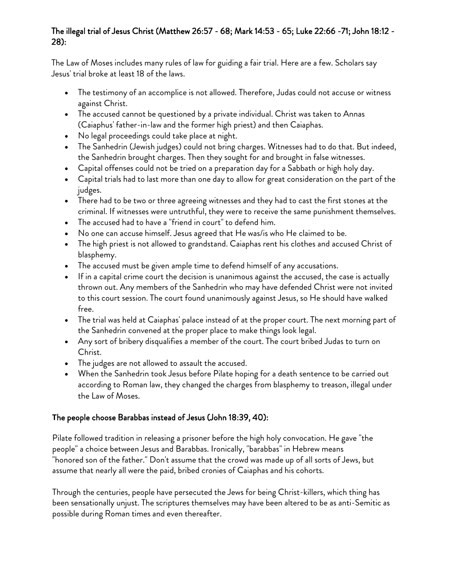#### The illegal trial of Jesus Christ (Matthew 26:57 - 68; Mark 14:53 - 65; Luke 22:66 -71; John 18:12 - 28):

The Law of Moses includes many rules of law for guiding a fair trial. Here are a few. Scholars say Jesus' trial broke at least 18 of the laws.

- The testimony of an accomplice is not allowed. Therefore, Judas could not accuse or witness against Christ.
- The accused cannot be questioned by a private individual. Christ was taken to Annas (Caiaphus' father-in-law and the former high priest) and then Caiaphas.
- No legal proceedings could take place at night.
- The Sanhedrin (Jewish judges) could not bring charges. Witnesses had to do that. But indeed, the Sanhedrin brought charges. Then they sought for and brought in false witnesses.
- Capital offenses could not be tried on a preparation day for a Sabbath or high holy day.
- Capital trials had to last more than one day to allow for great consideration on the part of the judges.
- There had to be two or three agreeing witnesses and they had to cast the first stones at the criminal. If witnesses were untruthful, they were to receive the same punishment themselves.
- The accused had to have a "friend in court" to defend him.
- No one can accuse himself. Jesus agreed that He was/is who He claimed to be.
- The high priest is not allowed to grandstand. Caiaphas rent his clothes and accused Christ of blasphemy.
- The accused must be given ample time to defend himself of any accusations.
- If in a capital crime court the decision is unanimous against the accused, the case is actually thrown out. Any members of the Sanhedrin who may have defended Christ were not invited to this court session. The court found unanimously against Jesus, so He should have walked free.
- The trial was held at Caiaphas' palace instead of at the proper court. The next morning part of the Sanhedrin convened at the proper place to make things look legal.
- Any sort of bribery disqualifies a member of the court. The court bribed Judas to turn on Christ.
- The judges are not allowed to assault the accused.
- When the Sanhedrin took Jesus before Pilate hoping for a death sentence to be carried out according to Roman law, they changed the charges from blasphemy to treason, illegal under the Law of Moses.

## **T**he people choose Barabbas instead of Jesus (John 18:39, 40):

Pilate followed tradition in releasing a prisoner before the high holy convocation. He gave "the people" a choice between Jesus and Barabbas. Ironically, "barabbas" in Hebrew means "honored son of the father." Don't assume that the crowd was made up of all sorts of Jews, but assume that nearly all were the paid, bribed cronies of Caiaphas and his cohorts.

Through the centuries, people have persecuted the Jews for being Christ-killers, which thing has been sensationally unjust. The scriptures themselves may have been altered to be as anti-Semitic as possible during Roman times and even thereafter.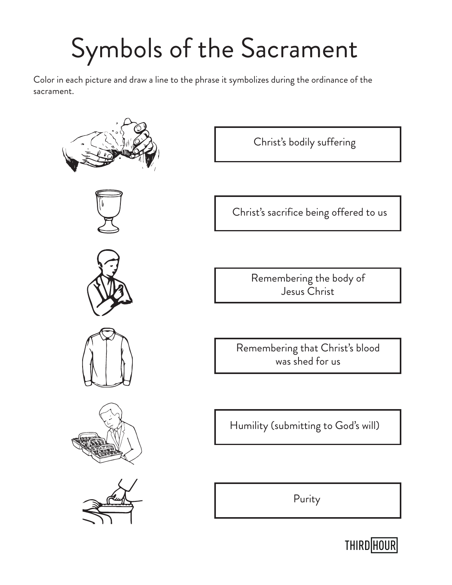# Symbols of the Sacrament

Color in each picture and draw a line to the phrase it symbolizes during the ordinance of the sacrament.













Christ's bodily suffering

Christ's sacrifice being offered to us

Remembering the body of Jesus Christ

Remembering that Christ's blood was shed for us

Humility (submitting to God's will)

Purity